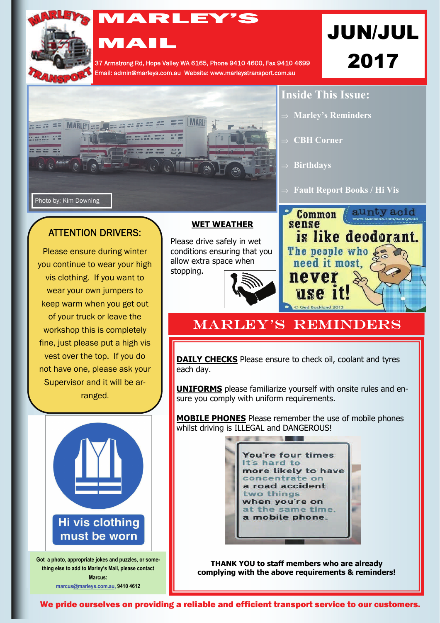

## MARLEY'S

37 Armstrong Rd, Hope Valley WA 6165, Phone 9410 4600, Fax 9410 4699 Email: admin@marleys.com.au Website: www.marleystransport.com.au

# JUN/JUL 2017

aunty acid

is like deodorant.



**MAIL** 

### ATTENTION DRIVERS:

Please ensure during winter you continue to wear your high vis clothing. If you want to wear your own jumpers to keep warm when you get out of your truck or leave the workshop this is completely fine, just please put a high vis vest over the top. If you do not have one, please ask your Supervisor and it will be arranged.



**Got a photo, appropriate jokes and puzzles, or something else to add to Marley's Mail, please contact Marcus: marcus[@marleys.com.au](mailto:ivana@marleys.com.au), 9410 4612**

#### **WET WEATHER**

Please drive safely in wet conditions ensuring that you allow extra space when stopping.



## **MARLEY'S REMINDERS**

**Birthdays** 

Common

never

use 1

The people who & need it most.

sense

**DAILY CHECKS** Please ensure to check oil, coolant and tyres each day.

**UNIFORMS** please familiarize yourself with onsite rules and ensure you comply with uniform requirements.

**MOBILE PHONES** Please remember the use of mobile phones whilst driving is ILLEGAL and DANGEROUS!



**THANK YOU to staff members who are already complying with the above requirements & reminders!**